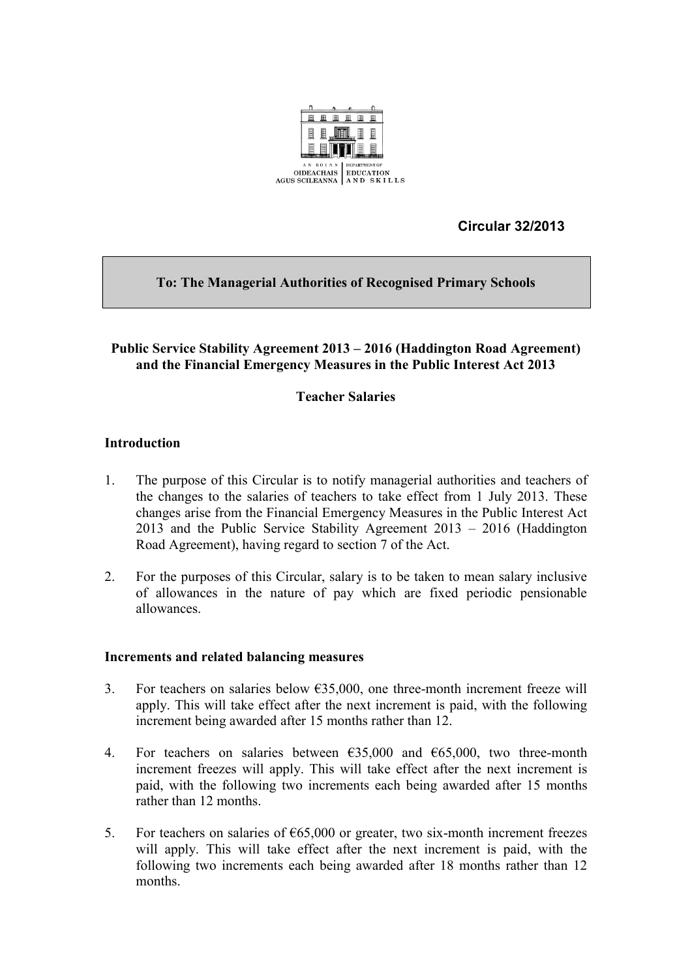

 **Circular 32/2013**

# **To: The Managerial Authorities of Recognised Primary Schools**

### **Public Service Stability Agreement 2013 – 2016 (Haddington Road Agreement) and the Financial Emergency Measures in the Public Interest Act 2013**

## **Teacher Salaries**

### **Introduction**

- 1. The purpose of this Circular is to notify managerial authorities and teachers of the changes to the salaries of teachers to take effect from 1 July 2013. These changes arise from the Financial Emergency Measures in the Public Interest Act 2013 and the Public Service Stability Agreement 2013 – 2016 (Haddington Road Agreement), having regard to section 7 of the Act.
- 2. For the purposes of this Circular, salary is to be taken to mean salary inclusive of allowances in the nature of pay which are fixed periodic pensionable allowances.

#### **Increments and related balancing measures**

- 3. For teachers on salaries below  $635,000$ , one three-month increment freeze will apply. This will take effect after the next increment is paid, with the following increment being awarded after 15 months rather than 12.
- 4. For teachers on salaries between  $635,000$  and  $665,000$ , two three-month increment freezes will apply. This will take effect after the next increment is paid, with the following two increments each being awarded after 15 months rather than 12 months.
- 5. For teachers on salaries of  $\epsilon$ 65,000 or greater, two six-month increment freezes will apply. This will take effect after the next increment is paid, with the following two increments each being awarded after 18 months rather than 12 months.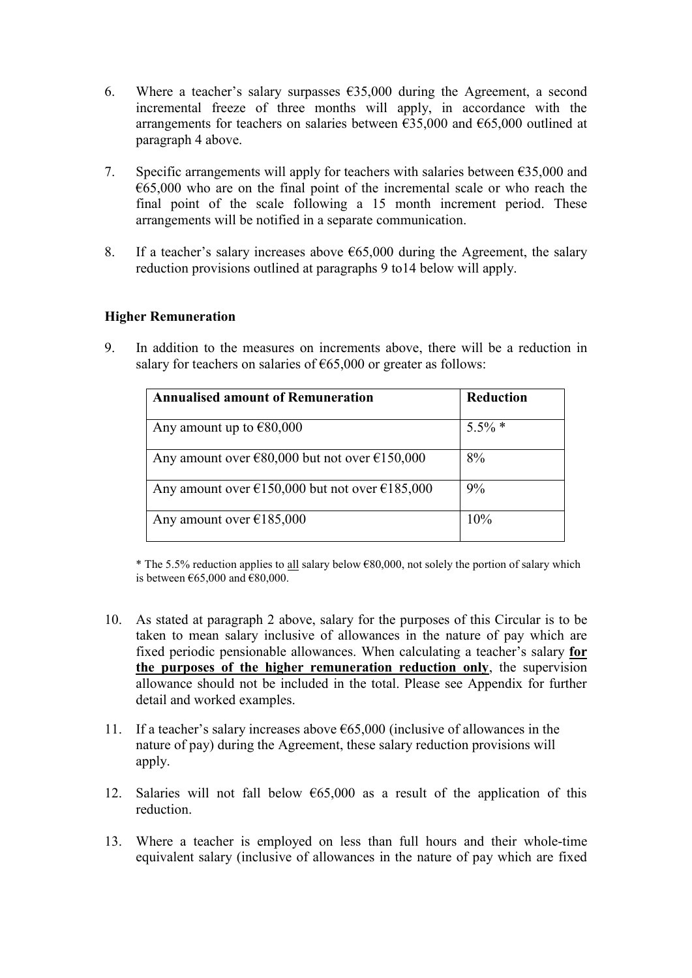- 6. Where a teacher's salary surpasses  $\epsilon$ 35,000 during the Agreement, a second incremental freeze of three months will apply, in accordance with the arrangements for teachers on salaries between  $\epsilon$ 35,000 and  $\epsilon$ 65,000 outlined at paragraph 4 above.
- 7. Specific arrangements will apply for teachers with salaries between  $\epsilon$ 35,000 and  $665,000$  who are on the final point of the incremental scale or who reach the final point of the scale following a 15 month increment period. These arrangements will be notified in a separate communication.
- 8. If a teacher's salary increases above  $665,000$  during the Agreement, the salary reduction provisions outlined at paragraphs 9 to14 below will apply.

### **Higher Remuneration**

9. In addition to the measures on increments above, there will be a reduction in salary for teachers on salaries of  $\epsilon$ 65,000 or greater as follows:

| <b>Annualised amount of Remuneration</b>                           | <b>Reduction</b> |
|--------------------------------------------------------------------|------------------|
| Any amount up to $€80,000$                                         | $5.5\%$ *        |
| Any amount over $\epsilon$ 80,000 but not over $\epsilon$ 150,000  | 8%               |
| Any amount over $\epsilon$ 150,000 but not over $\epsilon$ 185,000 | 9%               |
| Any amount over $\epsilon$ 185,000                                 | 10%              |

\* The 5.5% reduction applies to <u>all</u> salary below  $\epsilon$ 80,000, not solely the portion of salary which is between  $\epsilon$ 65,000 and  $\epsilon$ 80,000.

- 10. As stated at paragraph 2 above, salary for the purposes of this Circular is to be taken to mean salary inclusive of allowances in the nature of pay which are fixed periodic pensionable allowances. When calculating a teacher's salary **for the purposes of the higher remuneration reduction only**, the supervision allowance should not be included in the total. Please see Appendix for further detail and worked examples.
- 11. If a teacher's salary increases above  $665,000$  (inclusive of allowances in the nature of pay) during the Agreement, these salary reduction provisions will apply.
- 12. Salaries will not fall below  $\epsilon$ 65,000 as a result of the application of this reduction.
- 13. Where a teacher is employed on less than full hours and their whole-time equivalent salary (inclusive of allowances in the nature of pay which are fixed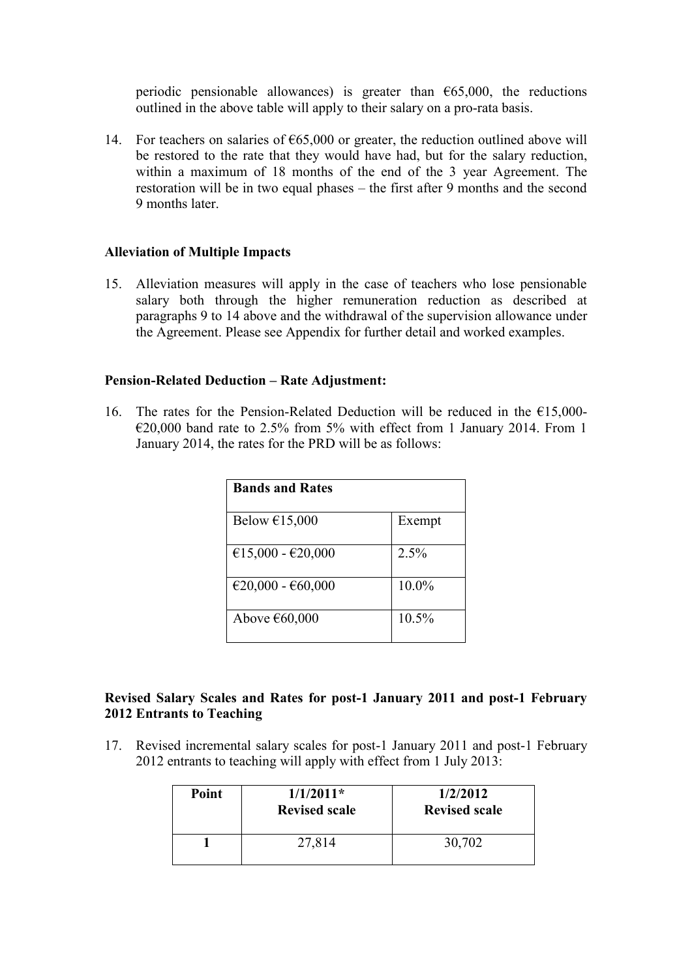periodic pensionable allowances) is greater than  $\epsilon$ 65,000, the reductions outlined in the above table will apply to their salary on a pro-rata basis.

14. For teachers on salaries of  $\epsilon$ 65,000 or greater, the reduction outlined above will be restored to the rate that they would have had, but for the salary reduction, within a maximum of 18 months of the end of the 3 year Agreement. The restoration will be in two equal phases – the first after 9 months and the second 9 months later.

#### **Alleviation of Multiple Impacts**

15. Alleviation measures will apply in the case of teachers who lose pensionable salary both through the higher remuneration reduction as described at paragraphs 9 to 14 above and the withdrawal of the supervision allowance under the Agreement. Please see Appendix for further detail and worked examples.

#### **Pension-Related Deduction – Rate Adjustment:**

16. The rates for the Pension-Related Deduction will be reduced in the  $£15,000 \epsilon$ 20,000 band rate to 2.5% from 5% with effect from 1 January 2014. From 1 January 2014, the rates for the PRD will be as follows:

| <b>Bands and Rates</b>  |          |
|-------------------------|----------|
| Below $£15,000$         | Exempt   |
| €15,000 - €20,000       | 2.5%     |
| €20,000 - €60,000       | 10.0%    |
| Above $\epsilon$ 60,000 | $10.5\%$ |

## **Revised Salary Scales and Rates for post-1 January 2011 and post-1 February 2012 Entrants to Teaching**

17. Revised incremental salary scales for post-1 January 2011 and post-1 February 2012 entrants to teaching will apply with effect from 1 July 2013:

| Point | $1/1/2011*$<br><b>Revised scale</b> | 1/2/2012<br><b>Revised scale</b> |
|-------|-------------------------------------|----------------------------------|
|       | 27,814                              | 30,702                           |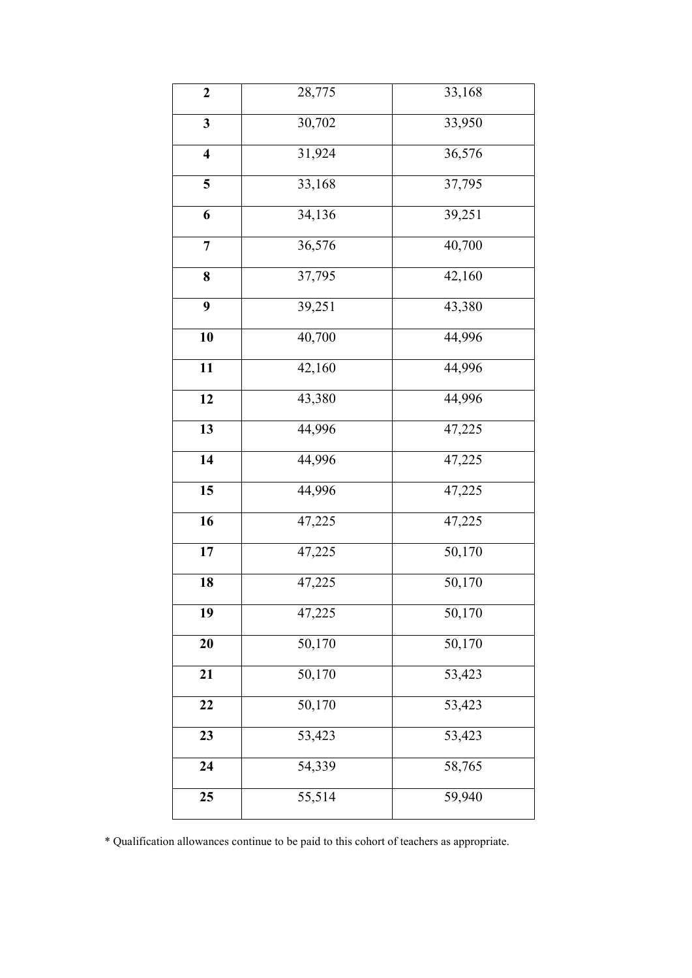| $\overline{2}$          | 28,775              | 33,168 |
|-------------------------|---------------------|--------|
| $\overline{\mathbf{3}}$ | 30,702              | 33,950 |
| $\overline{\mathbf{4}}$ | 31,924              | 36,576 |
| 5                       | 33,168              | 37,795 |
| 6                       | 34,136              | 39,251 |
| $\overline{7}$          | 36,576              | 40,700 |
| 8                       | 37,795              | 42,160 |
| 9                       | 39,251              | 43,380 |
| 10                      | 40,700              | 44,996 |
| 11                      | 42,160              | 44,996 |
| 12                      | 43,380              | 44,996 |
| $\overline{13}$         | 44,996              | 47,225 |
| 14                      | 44,996              | 47,225 |
| 15                      | 44,996              | 47,225 |
| 16                      | 47,225              | 47,225 |
| 17                      | 47,225              | 50,170 |
| 18                      | 47,225              | 50,170 |
| 19                      | 47,225              | 50,170 |
| 20                      | 50,170              | 50,170 |
| 21                      | 50,170              | 53,423 |
| 22                      | $\overline{50,170}$ | 53,423 |
| 23                      | $\overline{53,423}$ | 53,423 |
| 24                      | 54,339              | 58,765 |
| 25                      | 55,514              | 59,940 |

\* Qualification allowances continue to be paid to this cohort of teachers as appropriate.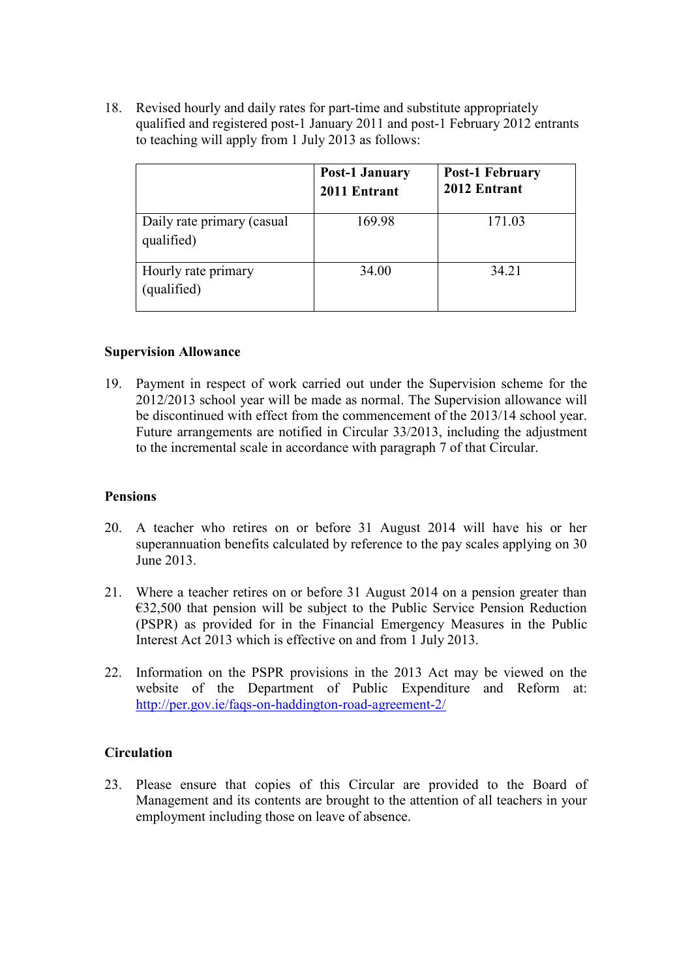18. Revised hourly and daily rates for part-time and substitute appropriately qualified and registered post-1 January 2011 and post-1 February 2012 entrants to teaching will apply from 1 July 2013 as follows:

|                                          | <b>Post-1 January</b><br>2011 Entrant | <b>Post-1 February</b><br>2012 Entrant |
|------------------------------------------|---------------------------------------|----------------------------------------|
| Daily rate primary (casual<br>qualified) | 169.98                                | 171.03                                 |
| Hourly rate primary<br>(qualified)       | 34.00                                 | 34.21                                  |

#### **Supervision Allowance**

19. Payment in respect of work carried out under the Supervision scheme for the 2012/2013 school year will be made as normal. The Supervision allowance will be discontinued with effect from the commencement of the 2013/14 school year. Future arrangements are notified in Circular 33/2013, including the adjustment to the incremental scale in accordance with paragraph 7 of that Circular.

#### **Pensions**

- 20. A teacher who retires on or before 31 August 2014 will have his or her superannuation benefits calculated by reference to the pay scales applying on 30 June 2013.
- 21. Where a teacher retires on or before 31 August 2014 on a pension greater than €32,500 that pension will be subject to the Public Service Pension Reduction (PSPR) as provided for in the Financial Emergency Measures in the Public Interest Act 2013 which is effective on and from 1 July 2013.
- 22. Information on the PSPR provisions in the 2013 Act may be viewed on the website of the Department of Public Expenditure and Reform at: <http://per.gov.ie/faqs-on-haddington-road-agreement-2/>

#### **Circulation**

23. Please ensure that copies of this Circular are provided to the Board of Management and its contents are brought to the attention of all teachers in your employment including those on leave of absence.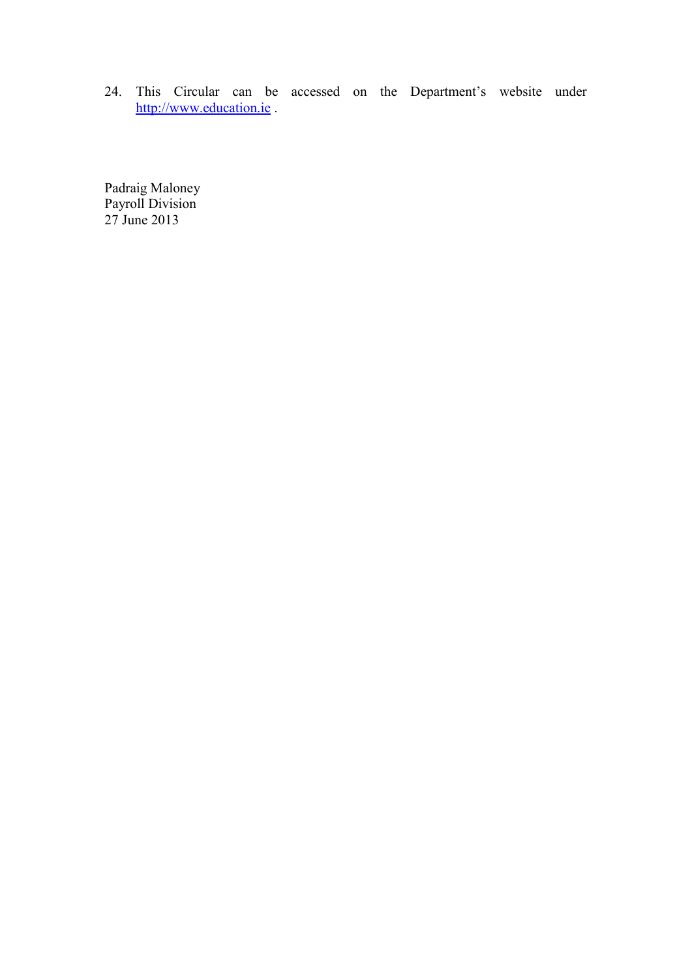24. This Circular can be accessed on the Department's website under [http://www.education.ie](http://www.education.ie/) .

Padraig Maloney Payroll Division 27 June 2013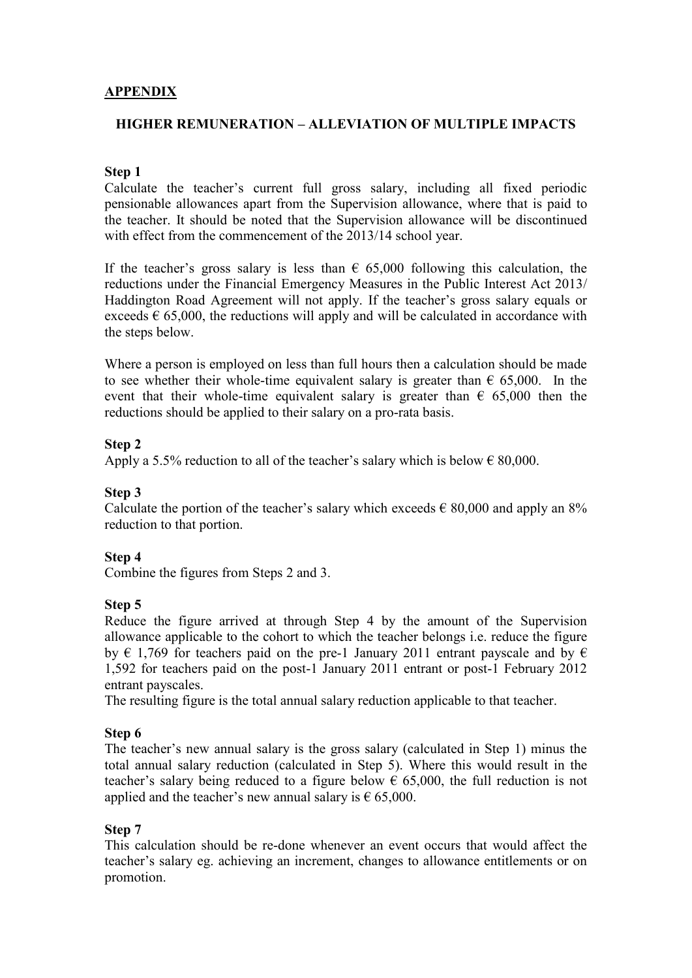## **APPENDIX**

### **HIGHER REMUNERATION – ALLEVIATION OF MULTIPLE IMPACTS**

### **Step 1**

Calculate the teacher's current full gross salary, including all fixed periodic pensionable allowances apart from the Supervision allowance, where that is paid to the teacher. It should be noted that the Supervision allowance will be discontinued with effect from the commencement of the 2013/14 school year.

If the teacher's gross salary is less than  $\epsilon$  65,000 following this calculation, the reductions under the Financial Emergency Measures in the Public Interest Act 2013/ Haddington Road Agreement will not apply. If the teacher's gross salary equals or exceeds  $\epsilon$  65,000, the reductions will apply and will be calculated in accordance with the steps below.

Where a person is employed on less than full hours then a calculation should be made to see whether their whole-time equivalent salary is greater than  $\epsilon$  65,000. In the event that their whole-time equivalent salary is greater than  $\epsilon$  65,000 then the reductions should be applied to their salary on a pro-rata basis.

## **Step 2**

Apply a 5.5% reduction to all of the teacher's salary which is below  $\epsilon$  80,000.

### **Step 3**

Calculate the portion of the teacher's salary which exceeds  $\epsilon$  80,000 and apply an 8% reduction to that portion.

#### **Step 4**

Combine the figures from Steps 2 and 3.

#### **Step 5**

Reduce the figure arrived at through Step 4 by the amount of the Supervision allowance applicable to the cohort to which the teacher belongs i.e. reduce the figure by  $\epsilon$  1,769 for teachers paid on the pre-1 January 2011 entrant payscale and by  $\epsilon$ 1,592 for teachers paid on the post-1 January 2011 entrant or post-1 February 2012 entrant payscales.

The resulting figure is the total annual salary reduction applicable to that teacher.

## **Step 6**

The teacher's new annual salary is the gross salary (calculated in Step 1) minus the total annual salary reduction (calculated in Step 5). Where this would result in the teacher's salary being reduced to a figure below  $\epsilon$  65,000, the full reduction is not applied and the teacher's new annual salary is  $\epsilon$  65,000.

#### **Step 7**

This calculation should be re-done whenever an event occurs that would affect the teacher's salary eg. achieving an increment, changes to allowance entitlements or on promotion.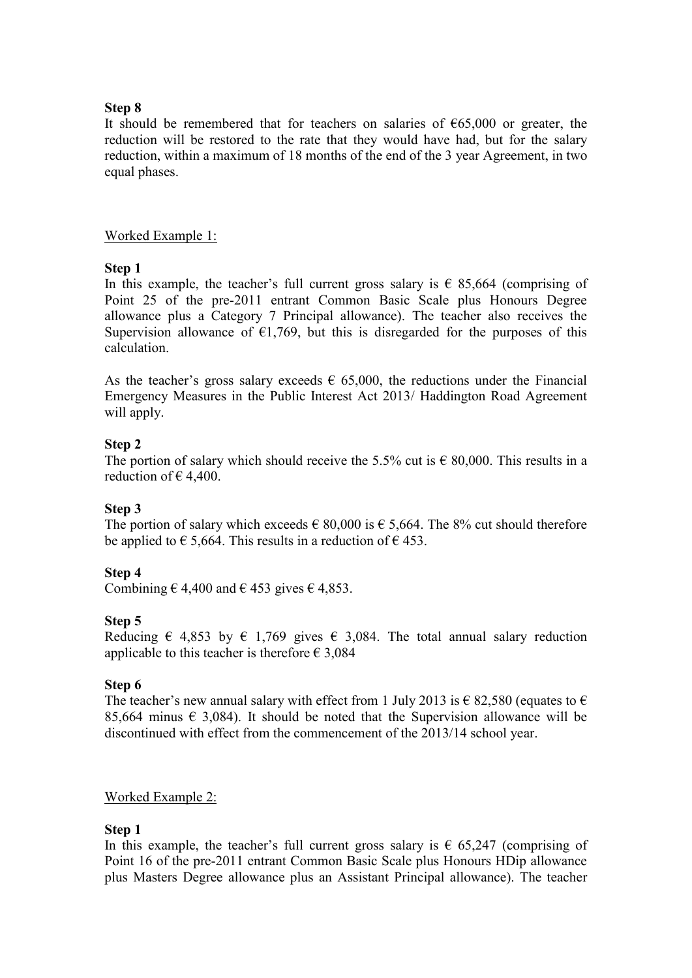### **Step 8**

It should be remembered that for teachers on salaries of  $\epsilon$ 65,000 or greater, the reduction will be restored to the rate that they would have had, but for the salary reduction, within a maximum of 18 months of the end of the 3 year Agreement, in two equal phases.

### Worked Example 1:

## **Step 1**

In this example, the teacher's full current gross salary is  $\epsilon$  85,664 (comprising of Point 25 of the pre-2011 entrant Common Basic Scale plus Honours Degree allowance plus a Category 7 Principal allowance). The teacher also receives the Supervision allowance of  $\epsilon$ 1,769, but this is disregarded for the purposes of this calculation.

As the teacher's gross salary exceeds  $\epsilon$  65,000, the reductions under the Financial Emergency Measures in the Public Interest Act 2013/ Haddington Road Agreement will apply.

## **Step 2**

The portion of salary which should receive the 5.5% cut is  $\epsilon$  80,000. This results in a reduction of  $\in$  4,400.

## **Step 3**

The portion of salary which exceeds  $\epsilon$  80,000 is  $\epsilon$  5,664. The 8% cut should therefore be applied to  $\epsilon$  5,664. This results in a reduction of  $\epsilon$  453.

## **Step 4**

Combining  $\in$  4,400 and  $\in$  453 gives  $\in$  4,853.

#### **Step 5**

Reducing  $\epsilon$  4,853 by  $\epsilon$  1,769 gives  $\epsilon$  3,084. The total annual salary reduction applicable to this teacher is therefore  $\epsilon$  3,084

#### **Step 6**

The teacher's new annual salary with effect from 1 July 2013 is  $\epsilon$  82,580 (equates to  $\epsilon$ 85,664 minus  $\epsilon$  3,084). It should be noted that the Supervision allowance will be discontinued with effect from the commencement of the 2013/14 school year.

## Worked Example 2:

#### **Step 1**

In this example, the teacher's full current gross salary is  $\epsilon$  65,247 (comprising of Point 16 of the pre-2011 entrant Common Basic Scale plus Honours HDip allowance plus Masters Degree allowance plus an Assistant Principal allowance). The teacher